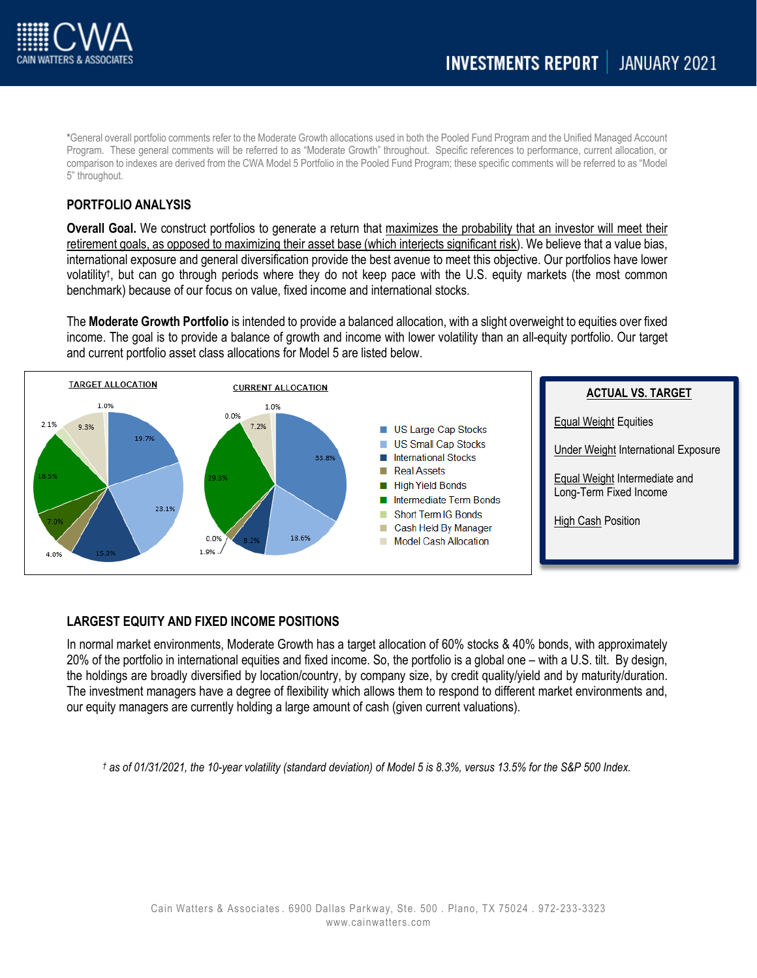

\*General overall portfolio comments refer to the Moderate Growth allocations used in both the Pooled Fund Program and the Unified Managed Account Program. These general comments will be referred to as "Moderate Growth" throughout. Specific references to performance, current allocation, or comparison to indexes are derived from the CWA Model 5 Portfolio in the Pooled Fund Program; these specific comments will be referred to as "Model 5" throughout.

# **PORTFOLIO ANALYSIS**

**Overall Goal.** We construct portfolios to generate a return that maximizes the probability that an investor will meet their retirement goals, as opposed to maximizing their asset base (which interjects significant risk). We believe that a value bias, international exposure and general diversification provide the best avenue to meet this objective. Our portfolios have lower volatility†, but can go through periods where they do not keep pace with the U.S. equity markets (the most common benchmark) because of our focus on value, fixed income and international stocks.

The **Moderate Growth Portfolio** is intended to provide a balanced allocation, with a slight overweight to equities over fixed income. The goal is to provide a balance of growth and income with lower volatility than an all-equity portfolio. Our target and current portfolio asset class allocations for Model 5 are listed below.



# **LARGEST EQUITY AND FIXED INCOME POSITIONS**

In normal market environments, Moderate Growth has a target allocation of 60% stocks & 40% bonds, with approximately 20% of the portfolio in international equities and fixed income. So, the portfolio is a global one – with a U.S. tilt. By design, the holdings are broadly diversified by location/country, by company size, by credit quality/yield and by maturity/duration. The investment managers have a degree of flexibility which allows them to respond to different market environments and, our equity managers are currently holding a large amount of cash (given current valuations).

*† as of 01/31/2021, the 10-year volatility (standard deviation) of Model 5 is 8.3%, versus 13.5% for the S&P 500 Index.*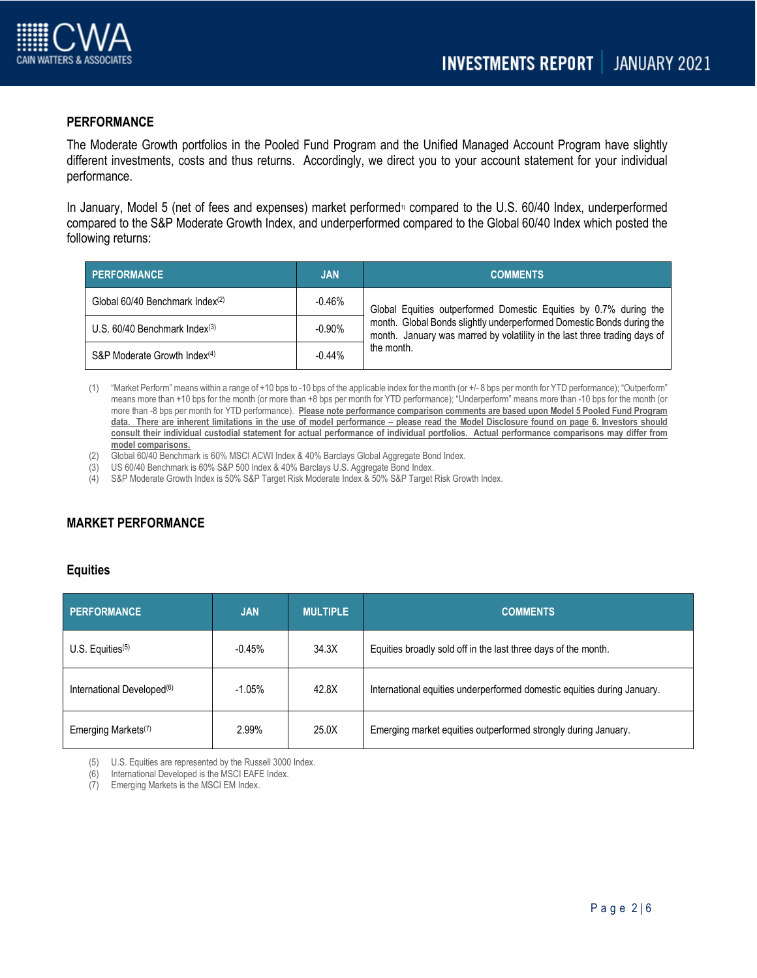

## **PERFORMANCE**

The Moderate Growth portfolios in the Pooled Fund Program and the Unified Managed Account Program have slightly different investments, costs and thus returns. Accordingly, we direct you to your account statement for your individual performance.

In January, Model 5 (net of fees and expenses) market performed<sup>1</sup> compared to the U.S. 60/40 Index, underperformed compared to the S&P Moderate Growth Index, and underperformed compared to the Global 60/40 Index which posted the following returns:

| PERFORMANCE                                 | <b>JAN</b> | <b>COMMENTS</b>                                                                                                                                                                                                                       |
|---------------------------------------------|------------|---------------------------------------------------------------------------------------------------------------------------------------------------------------------------------------------------------------------------------------|
| Global 60/40 Benchmark Index <sup>(2)</sup> | $-0.46%$   | Global Equities outperformed Domestic Equities by 0.7% during the<br>month. Global Bonds slightly underperformed Domestic Bonds during the<br>month. January was marred by volatility in the last three trading days of<br>the month. |
| U.S. $60/40$ Benchmark Index $(3)$          | $-0.90%$   |                                                                                                                                                                                                                                       |
| S&P Moderate Growth Index <sup>(4)</sup>    | $-0.44%$   |                                                                                                                                                                                                                                       |

- (1) "Market Perform" means within a range of +10 bps to -10 bps of the applicable index for the month (or +/- 8 bps per month for YTD performance); "Outperform" means more than +10 bps for the month (or more than +8 bps per month for YTD performance); "Underperform" means more than -10 bps for the month (or more than -8 bps per month for YTD performance). **Please note performance comparison comments are based upon Model 5 Pooled Fund Program data. There are inherent limitations in the use of model performance – please read the Model Disclosure found on page 6. Investors should consult their individual custodial statement for actual performance of individual portfolios. Actual performance comparisons may differ from model comparisons.**
- Global 60/40 Benchmark is 60% MSCI ACWI Index & 40% Barclays Global Aggregate Bond Index.
- (3) US 60/40 Benchmark is 60% S&P 500 Index & 40% Barclays U.S. Aggregate Bond Index.
- (4) S&P Moderate Growth Index is 50% S&P Target Risk Moderate Index & 50% S&P Target Risk Growth Index.

# **MARKET PERFORMANCE**

### **Equities**

| <b>PERFORMANCE</b>                     | <b>JAN</b> | <b>MULTIPLE</b> | <b>COMMENTS</b>                                                         |
|----------------------------------------|------------|-----------------|-------------------------------------------------------------------------|
| $U.S.$ Equities <sup>(5)</sup>         | $-0.45%$   | 34.3X           | Equities broadly sold off in the last three days of the month.          |
| International Developed <sup>(6)</sup> | $-1.05%$   | 42.8X           | International equities underperformed domestic equities during January. |
| Emerging Markets <sup>(7)</sup>        | 2.99%      | 25.0X           | Emerging market equities outperformed strongly during January.          |

(5) U.S. Equities are represented by the Russell 3000 Index.

(6) International Developed is the MSCI EAFE Index.

(7) Emerging Markets is the MSCI EM Index.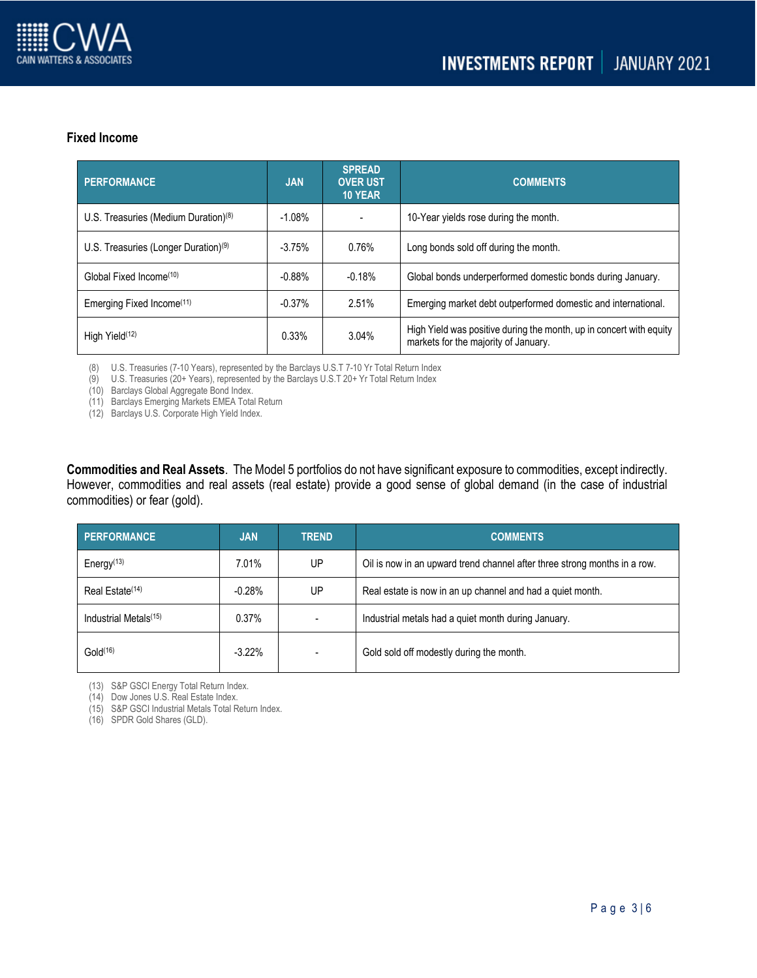

## **Fixed Income**

| <b>PERFORMANCE</b>                               | <b>JAN</b> | <b>SPREAD</b><br><b>OVER UST</b><br>10 YEAR | <b>COMMENTS</b>                                                                                             |
|--------------------------------------------------|------------|---------------------------------------------|-------------------------------------------------------------------------------------------------------------|
| U.S. Treasuries (Medium Duration) <sup>(8)</sup> | $-1.08%$   |                                             | 10-Year yields rose during the month.                                                                       |
| U.S. Treasuries (Longer Duration) <sup>(9)</sup> | $-3.75%$   | 0.76%                                       | Long bonds sold off during the month.                                                                       |
| Global Fixed Income <sup>(10)</sup>              | $-0.88%$   | $-0.18%$                                    | Global bonds underperformed domestic bonds during January.                                                  |
| Emerging Fixed Income <sup>(11)</sup>            | $-0.37%$   | 2.51%                                       | Emerging market debt outperformed domestic and international.                                               |
| High Yield <sup>(12)</sup>                       | 0.33%      | 3.04%                                       | High Yield was positive during the month, up in concert with equity<br>markets for the majority of January. |

(8) U.S. Treasuries (7-10 Years), represented by the Barclays U.S.T 7-10 Yr Total Return Index

(9) U.S. Treasuries (20+ Years), represented by the Barclays U.S.T 20+ Yr Total Return Index

(10) Barclays Global Aggregate Bond Index.

(11) Barclays Emerging Markets EMEA Total Return

(12) Barclays U.S. Corporate High Yield Index.

**Commodities and Real Assets**. The Model 5 portfolios do not have significant exposure to commodities, except indirectly. However, commodities and real assets (real estate) provide a good sense of global demand (in the case of industrial commodities) or fear (gold).

| <b>PERFORMANCE</b>                | <b>JAN</b> | <b>TREND</b> | <b>COMMENTS</b>                                                           |
|-----------------------------------|------------|--------------|---------------------------------------------------------------------------|
| Energy <sup>(13)</sup>            | 7.01%      | UP           | Oil is now in an upward trend channel after three strong months in a row. |
| Real Estate <sup>(14)</sup>       | $-0.28%$   | UP           | Real estate is now in an up channel and had a quiet month.                |
| Industrial Metals <sup>(15)</sup> | 0.37%      |              | Industrial metals had a quiet month during January.                       |
| Gold <sup>(16)</sup>              | $-3.22\%$  |              | Gold sold off modestly during the month.                                  |

(13) S&P GSCI Energy Total Return Index.

(14) Dow Jones U.S. Real Estate Index.

(15) S&P GSCI Industrial Metals Total Return Index.

(16) SPDR Gold Shares (GLD).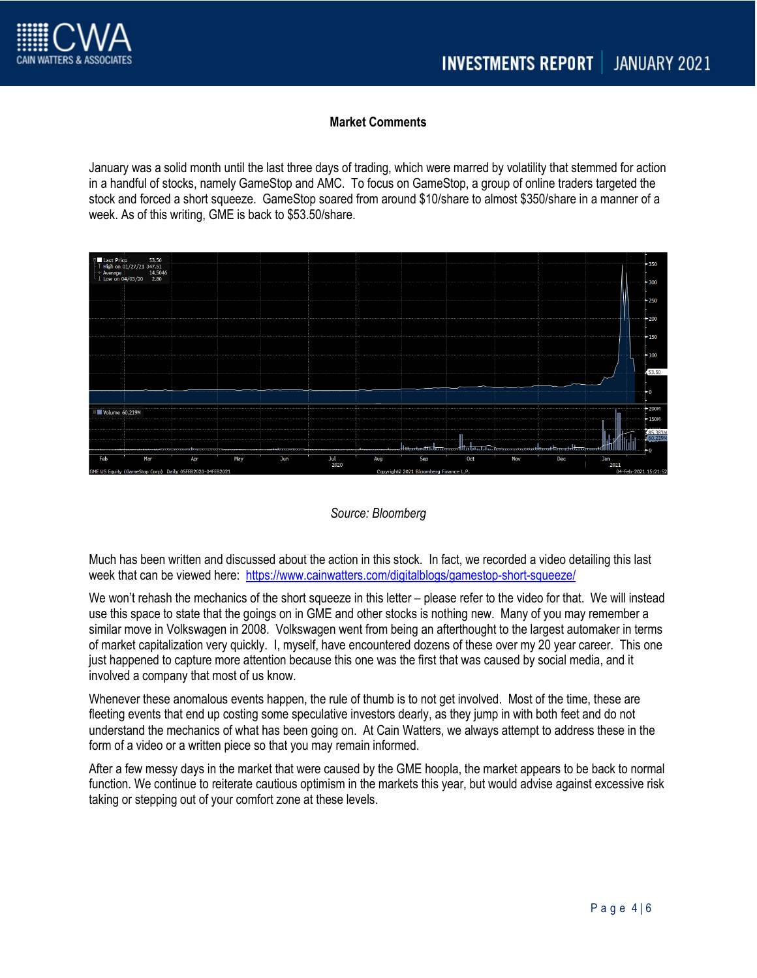

# **Market Comments**

January was a solid month until the last three days of trading, which were marred by volatility that stemmed for action in a handful of stocks, namely GameStop and AMC. To focus on GameStop, a group of online traders targeted the stock and forced a short squeeze. GameStop soared from around \$10/share to almost \$350/share in a manner of a week. As of this writing, GME is back to \$53.50/share.



*Source: Bloomberg*

Much has been written and discussed about the action in this stock. In fact, we recorded a video detailing this last week that can be viewed here: <https://www.cainwatters.com/digitalblogs/gamestop-short-squeeze/>

We won't rehash the mechanics of the short squeeze in this letter – please refer to the video for that. We will instead use this space to state that the goings on in GME and other stocks is nothing new. Many of you may remember a similar move in Volkswagen in 2008. Volkswagen went from being an afterthought to the largest automaker in terms of market capitalization very quickly. I, myself, have encountered dozens of these over my 20 year career. This one just happened to capture more attention because this one was the first that was caused by social media, and it involved a company that most of us know.

Whenever these anomalous events happen, the rule of thumb is to not get involved. Most of the time, these are fleeting events that end up costing some speculative investors dearly, as they jump in with both feet and do not understand the mechanics of what has been going on. At Cain Watters, we always attempt to address these in the form of a video or a written piece so that you may remain informed.

After a few messy days in the market that were caused by the GME hoopla, the market appears to be back to normal function. We continue to reiterate cautious optimism in the markets this year, but would advise against excessive risk taking or stepping out of your comfort zone at these levels.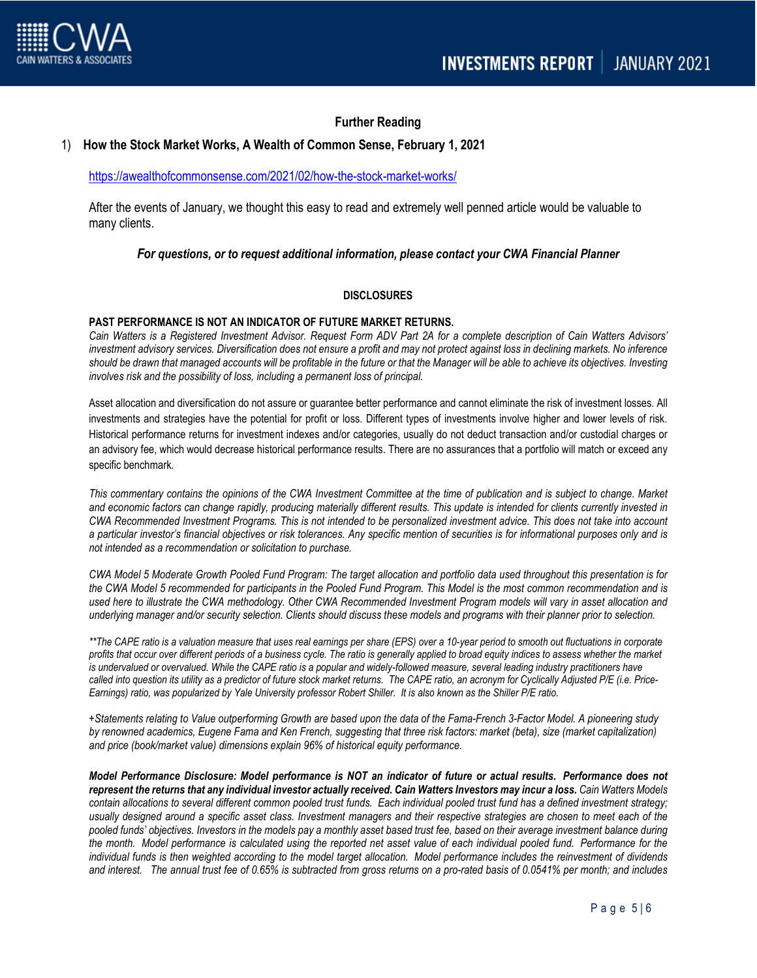

## **Further Reading**

### 1) **How the Stock Market Works, A Wealth of Common Sense, February 1, 2021**

#### <https://awealthofcommonsense.com/2021/02/how-the-stock-market-works/>

After the events of January, we thought this easy to read and extremely well penned article would be valuable to many clients.

### *For questions, or to request additional information, please contact your CWA Financial Planner*

#### **DISCLOSURES**

## **PAST PERFORMANCE IS NOT AN INDICATOR OF FUTURE MARKET RETURNS.**

*Cain Watters is a Registered Investment Advisor. Request Form ADV Part 2A for a complete description of Cain Watters Advisors' investment advisory services. Diversification does not ensure a profit and may not protect against loss in declining markets. No inference should be drawn that managed accounts will be profitable in the future or that the Manager will be able to achieve its objectives. Investing involves risk and the possibility of loss, including a permanent loss of principal.*

Asset allocation and diversification do not assure or guarantee better performance and cannot eliminate the risk of investment losses. All investments and strategies have the potential for profit or loss. Different types of investments involve higher and lower levels of risk. Historical performance returns for investment indexes and/or categories, usually do not deduct transaction and/or custodial charges or an advisory fee, which would decrease historical performance results. There are no assurances that a portfolio will match or exceed any specific benchmark.

*This commentary contains the opinions of the CWA Investment Committee at the time of publication and is subject to change. Market and economic factors can change rapidly, producing materially different results. This update is intended for clients currently invested in CWA Recommended Investment Programs. This is not intended to be personalized investment advice. This does not take into account a particular investor's financial objectives or risk tolerances. Any specific mention of securities is for informational purposes only and is not intended as a recommendation or solicitation to purchase.*

*CWA Model 5 Moderate Growth Pooled Fund Program: The target allocation and portfolio data used throughout this presentation is for the CWA Model 5 recommended for participants in the Pooled Fund Program. This Model is the most common recommendation and is used here to illustrate the CWA methodology. Other CWA Recommended Investment Program models will vary in asset allocation and underlying manager and/or security selection. Clients should discuss these models and programs with their planner prior to selection.*

*\*\*The CAPE ratio is a valuation measure that uses real earnings per share (EPS) over a 10-year period to smooth out fluctuations in corporate profits that occur over different periods of a business cycle. The ratio is generally applied to broad equity indices to assess whether the market*  is undervalued or overvalued. While the CAPE ratio is a popular and widely-followed measure, several leading industry practitioners have *called into question its utility as a predictor of future stock market returns. The CAPE ratio, an acronym for Cyclically Adjusted P/E (i.e. Price-Earnings) ratio, was popularized by Yale University professor Robert Shiller. It is also known as the Shiller P/E ratio.*

*+Statements relating to Value outperforming Growth are based upon the data of the Fama-French 3-Factor Model. A pioneering study by renowned academics, Eugene Fama and Ken French, suggesting that three risk factors: market (beta), size (market capitalization) and price (book/market value) dimensions explain 96% of historical equity performance.*

*Model Performance Disclosure: Model performance is NOT an indicator of future or actual results. Performance does not*  represent the returns that any individual investor actually received. Cain Watters Investors may incur a loss. Cain Watters Models *contain allocations to several different common pooled trust funds. Each individual pooled trust fund has a defined investment strategy; usually designed around a specific asset class. Investment managers and their respective strategies are chosen to meet each of the pooled funds' objectives. Investors in the models pay a monthly asset based trust fee, based on their average investment balance during the month. Model performance is calculated using the reported net asset value of each individual pooled fund. Performance for the individual funds is then weighted according to the model target allocation. Model performance includes the reinvestment of dividends and interest. The annual trust fee of 0.65% is subtracted from gross returns on a pro-rated basis of 0.0541% per month; and includes*